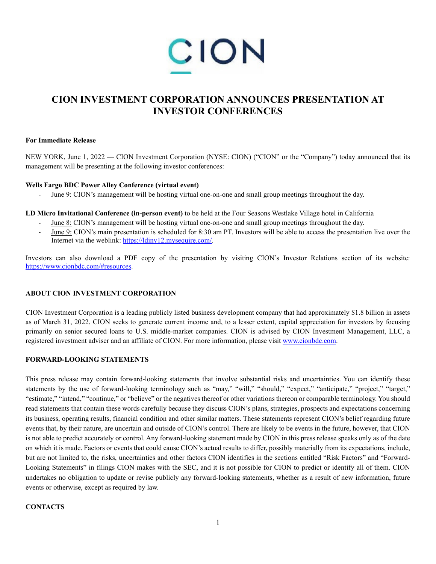

# **CION INVESTMENT CORPORATION ANNOUNCES PRESENTATION AT INVESTOR CONFERENCES**

#### **For Immediate Release**

NEW YORK, June 1, 2022 — CION Investment Corporation (NYSE: CION) ("CION" or the "Company") today announced that its management will be presenting at the following investor conferences:

#### **Wells Fargo BDC Power Alley Conference (virtual event)**

June 9: CION's management will be hosting virtual one-on-one and small group meetings throughout the day.

**LD Micro Invitational Conference (in-person event)** to be held at the Four Seasons Westlake Village hotel in California

- June 8: CION's management will be hosting virtual one-on-one and small group meetings throughout the day.
- June 9: CION's main presentation is scheduled for 8:30 am PT. Investors will be able to access the presentation live over the Internet via the weblink: https://ldinv12.mysequire.com/.

Investors can also download a PDF copy of the presentation by visiting CION's Investor Relations section of its website: https://www.cionbdc.com/#resources.

## **ABOUT CION INVESTMENT CORPORATION**

CION Investment Corporation is a leading publicly listed business development company that had approximately \$1.8 billion in assets as of March 31, 2022. CION seeks to generate current income and, to a lesser extent, capital appreciation for investors by focusing primarily on senior secured loans to U.S. middle-market companies. CION is advised by CION Investment Management, LLC, a registered investment adviser and an affiliate of CION. For more information, please visit www.cionbdc.com.

## **FORWARD-LOOKING STATEMENTS**

This press release may contain forward-looking statements that involve substantial risks and uncertainties. You can identify these statements by the use of forward-looking terminology such as "may," "will," "should," "expect," "anticipate," "project," "target," "estimate," "intend," "continue," or "believe" or the negatives thereof or other variations thereon or comparable terminology. You should read statements that contain these words carefully because they discuss CION's plans, strategies, prospects and expectations concerning its business, operating results, financial condition and other similar matters. These statements represent CION's belief regarding future events that, by their nature, are uncertain and outside of CION's control. There are likely to be events in the future, however, that CION is not able to predict accurately or control. Any forward-looking statement made by CION in this press release speaks only as of the date on which it is made. Factors or events that could cause CION's actual results to differ, possibly materially from its expectations, include, but are not limited to, the risks, uncertainties and other factors CION identifies in the sections entitled "Risk Factors" and "Forward-Looking Statements" in filings CION makes with the SEC, and it is not possible for CION to predict or identify all of them. CION undertakes no obligation to update or revise publicly any forward-looking statements, whether as a result of new information, future events or otherwise, except as required by law.

## **CONTACTS**